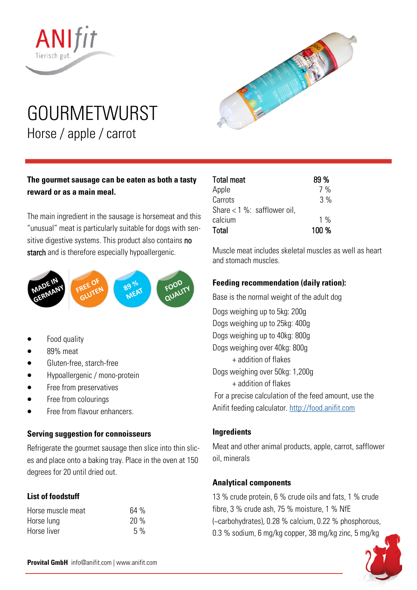

# GOURMETWURST Horse / apple / carrot



# **The gourmet sausage can be eaten as both a tasty reward or as a main meal.**

The main ingredient in the sausage is horsemeat and this "unusual" meat is particularly suitable for dogs with sensitive digestive systems. This product also contains no starch and is therefore especially hypoallergenic.



- Food quality
- 89% meat
- Gluten-free, starch-free
- Hypoallergenic / mono-protein
- Free from preservatives
- Free from colourings
- Free from flavour enhancers.

#### **Serving suggestion for connoisseurs**

Refrigerate the gourmet sausage then slice into thin slices and place onto a baking tray. Place in the oven at 150 degrees for 20 until dried out.

# **List of foodstuff**

| Horse muscle meat | 64% |
|-------------------|-----|
| Horse lung        | 20% |
| Horse liver       | 5%  |

| Total meat                      | 89 %  |
|---------------------------------|-------|
| Apple                           | 7%    |
| Carrots                         | 3%    |
| Share $< 1 \%$ : safflower oil, |       |
| calcium                         | $1\%$ |
| Total                           | 100 % |

Muscle meat includes skeletal muscles as well as heart and stomach muscles.

#### **Feeding recommendation (daily ration):**

Base is the normal weight of the adult dog Dogs weighing up to 5kg: 200g Dogs weighing up to 25kg: 400g Dogs weighing up to 40kg: 800g Dogs weighing over 40kg: 800g + addition of flakes Dogs weighing over 50kg: 1,200g + addition of flakes For a precise calculation of the feed amount, use the Anifit feeding calculator. <http://food.anifit.com>

## **Ingredients**

Meat and other animal products, apple, carrot, safflower oil, minerals

## **Analytical components**

13 % crude protein, 6 % crude oils and fats, 1 % crude fibre, 3 % crude ash, 75 % moisture, 1 % NfE (~carbohydrates), 0.28 % calcium, 0.22 % phosphorous, 0.3 % sodium, 6 mg/kg copper, 38 mg/kg zinc, 5 mg/kg